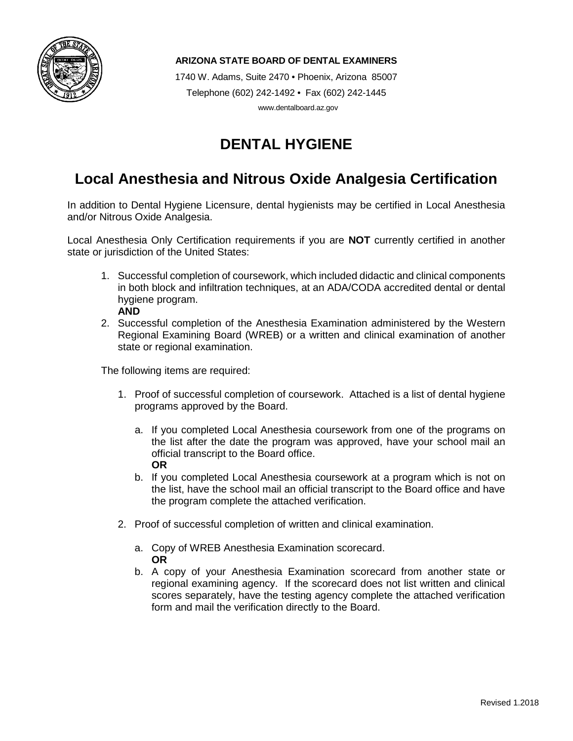

1740 W. Adams, Suite 2470 • Phoenix, Arizona 85007 Telephone (602) 242-1492 • Fax (602) 242-1445 www.dentalboard.az.gov

# **DENTAL HYGIENE**

### **Local Anesthesia and Nitrous Oxide Analgesia Certification**

In addition to Dental Hygiene Licensure, dental hygienists may be certified in Local Anesthesia and/or Nitrous Oxide Analgesia.

Local Anesthesia Only Certification requirements if you are **NOT** currently certified in another state or jurisdiction of the United States:

- 1. Successful completion of coursework, which included didactic and clinical components in both block and infiltration techniques, at an ADA/CODA accredited dental or dental hygiene program.
- **AND**
- 2. Successful completion of the Anesthesia Examination administered by the Western Regional Examining Board (WREB) or a written and clinical examination of another state or regional examination.

The following items are required:

- 1. Proof of successful completion of coursework. Attached is a list of dental hygiene programs approved by the Board.
	- a. If you completed Local Anesthesia coursework from one of the programs on the list after the date the program was approved, have your school mail an official transcript to the Board office. **OR**
	- b. If you completed Local Anesthesia coursework at a program which is not on the list, have the school mail an official transcript to the Board office and have the program complete the attached verification.
- 2. Proof of successful completion of written and clinical examination.
	- a. Copy of WREB Anesthesia Examination scorecard. **OR**
	- b. A copy of your Anesthesia Examination scorecard from another state or regional examining agency. If the scorecard does not list written and clinical scores separately, have the testing agency complete the attached verification form and mail the verification directly to the Board.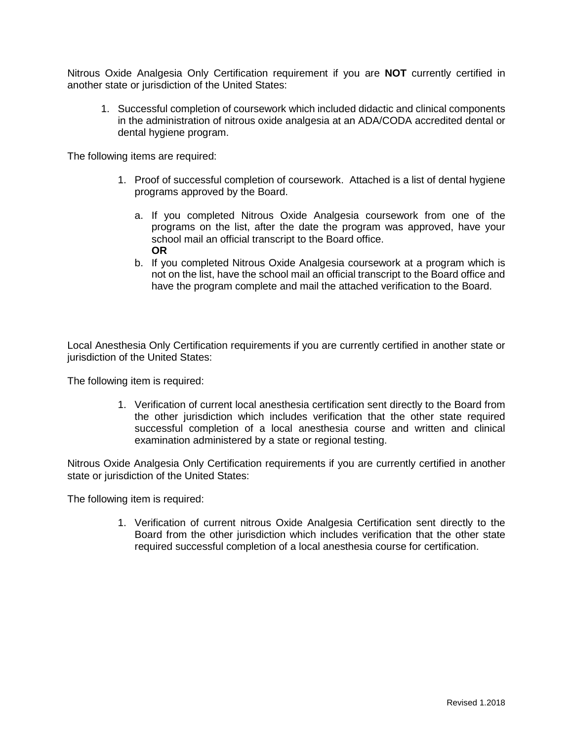Nitrous Oxide Analgesia Only Certification requirement if you are **NOT** currently certified in another state or jurisdiction of the United States:

1. Successful completion of coursework which included didactic and clinical components in the administration of nitrous oxide analgesia at an ADA/CODA accredited dental or dental hygiene program.

The following items are required:

- 1. Proof of successful completion of coursework. Attached is a list of dental hygiene programs approved by the Board.
	- a. If you completed Nitrous Oxide Analgesia coursework from one of the programs on the list, after the date the program was approved, have your school mail an official transcript to the Board office. **OR**
	- b. If you completed Nitrous Oxide Analgesia coursework at a program which is not on the list, have the school mail an official transcript to the Board office and have the program complete and mail the attached verification to the Board.

Local Anesthesia Only Certification requirements if you are currently certified in another state or jurisdiction of the United States:

The following item is required:

1. Verification of current local anesthesia certification sent directly to the Board from the other jurisdiction which includes verification that the other state required successful completion of a local anesthesia course and written and clinical examination administered by a state or regional testing.

Nitrous Oxide Analgesia Only Certification requirements if you are currently certified in another state or jurisdiction of the United States:

The following item is required:

1. Verification of current nitrous Oxide Analgesia Certification sent directly to the Board from the other jurisdiction which includes verification that the other state required successful completion of a local anesthesia course for certification.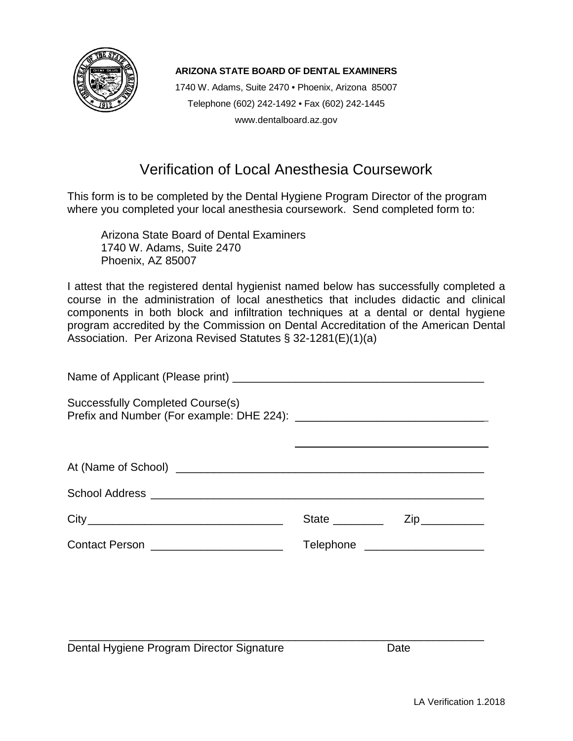

1740 W. Adams, Suite 2470 • Phoenix, Arizona 85007 Telephone (602) 242-1492 • Fax (602) 242-1445 www.dentalboard.az.gov

### Verification of Local Anesthesia Coursework

This form is to be completed by the Dental Hygiene Program Director of the program where you completed your local anesthesia coursework. Send completed form to:

Arizona State Board of Dental Examiners 1740 W. Adams, Suite 2470 Phoenix, AZ 85007

I attest that the registered dental hygienist named below has successfully completed a course in the administration of local anesthetics that includes didactic and clinical components in both block and infiltration techniques at a dental or dental hygiene program accredited by the Commission on Dental Accreditation of the American Dental Association. Per Arizona Revised Statutes § 32-1281(E)(1)(a)

| Successfully Completed Course(s)        |                                  |  |
|-----------------------------------------|----------------------------------|--|
|                                         |                                  |  |
|                                         |                                  |  |
|                                         |                                  |  |
|                                         |                                  |  |
| Contact Person ________________________ | Telephone ______________________ |  |

\_\_\_\_\_\_\_\_\_\_\_\_\_\_\_\_\_\_\_\_\_\_\_\_\_\_\_\_\_\_\_\_\_\_\_\_\_\_\_\_\_\_\_\_\_\_\_\_\_\_\_\_\_\_\_\_\_\_\_\_\_\_\_\_\_\_ Dental Hygiene Program Director Signature **Date** Date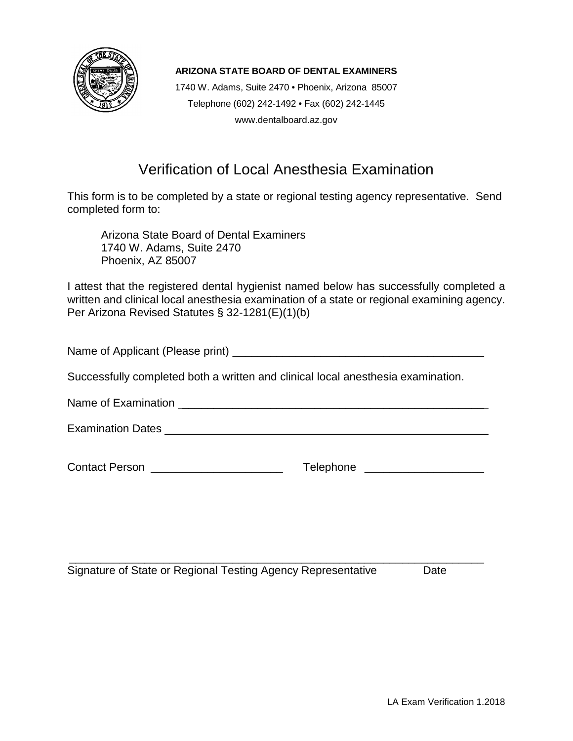

1740 W. Adams, Suite 2470 • Phoenix, Arizona 85007 Telephone (602) 242-1492 • Fax (602) 242-1445 www.dentalboard.az.gov

## Verification of Local Anesthesia Examination

This form is to be completed by a state or regional testing agency representative. Send completed form to:

Arizona State Board of Dental Examiners 1740 W. Adams, Suite 2470 Phoenix, AZ 85007

I attest that the registered dental hygienist named below has successfully completed a written and clinical local anesthesia examination of a state or regional examining agency. Per Arizona Revised Statutes § 32-1281(E)(1)(b)

Name of Applicant (Please print) \_\_\_\_\_\_\_\_\_\_\_\_\_\_\_\_\_\_\_\_\_\_\_\_\_\_\_\_\_\_\_\_\_\_\_\_\_\_\_\_

Successfully completed both a written and clinical local anesthesia examination.

Name of Examination **Lateral Examination** and the set of the set of the set of the set of the set of the set of the set of the set of the set of the set of the set of the set of the set of the set of the set of the set of

Examination Dates **Examination** Dates **Example 1** 

Contact Person \_\_\_\_\_\_\_\_\_\_\_\_\_\_\_\_\_\_\_\_\_ Telephone \_\_\_\_\_\_\_\_\_\_\_\_\_\_\_\_\_\_\_

\_\_\_\_\_\_\_\_\_\_\_\_\_\_\_\_\_\_\_\_\_\_\_\_\_\_\_\_\_\_\_\_\_\_\_\_\_\_\_\_\_\_\_\_\_\_\_\_\_\_\_\_\_\_\_\_\_\_\_\_\_\_\_\_\_\_ Signature of State or Regional Testing Agency Representative Date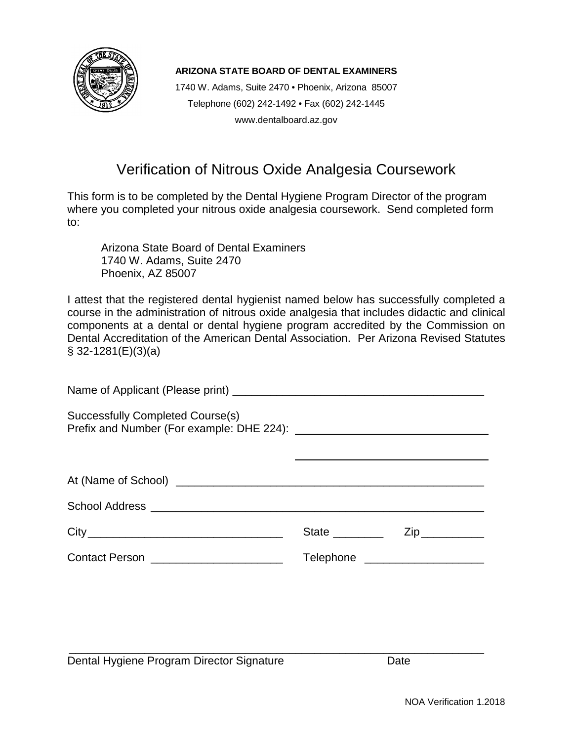

1740 W. Adams, Suite 2470 • Phoenix, Arizona 85007 Telephone (602) 242-1492 • Fax (602) 242-1445 www.dentalboard.az.gov

#### Verification of Nitrous Oxide Analgesia Coursework

This form is to be completed by the Dental Hygiene Program Director of the program where you completed your nitrous oxide analgesia coursework. Send completed form to:

Arizona State Board of Dental Examiners 1740 W. Adams, Suite 2470 Phoenix, AZ 85007

I attest that the registered dental hygienist named below has successfully completed a course in the administration of nitrous oxide analgesia that includes didactic and clinical components at a dental or dental hygiene program accredited by the Commission on Dental Accreditation of the American Dental Association. Per Arizona Revised Statutes  $\S$  32-1281(E)(3)(a)

| Successfully Completed Course(s)       |                                 |                                                       |
|----------------------------------------|---------------------------------|-------------------------------------------------------|
|                                        |                                 |                                                       |
|                                        |                                 |                                                       |
|                                        |                                 |                                                       |
|                                        |                                 | $\mathsf{Zip} \_\_\_\_\_\_\_\_\_\_\_\_\_\_\_\_\_\_\_$ |
| Contact Person _______________________ | Telephone _____________________ |                                                       |

Dental Hygiene Program Director Signature **Date** Date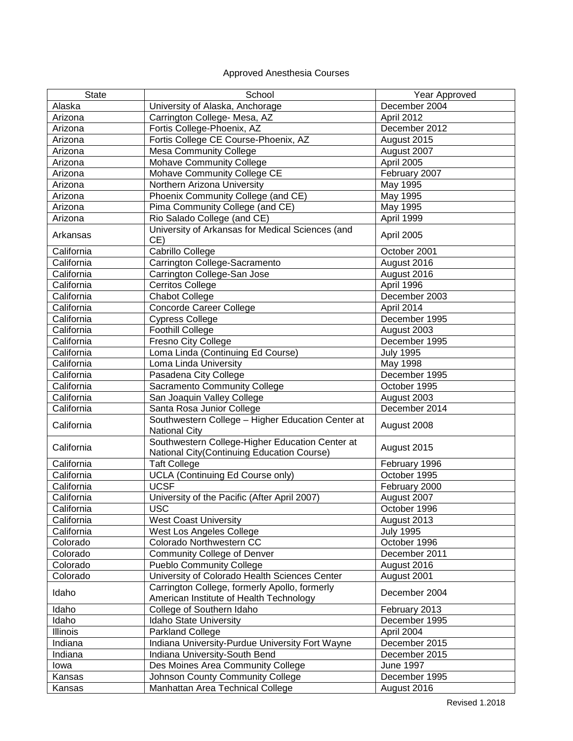#### Approved Anesthesia Courses

| <b>State</b> | School                                                                                        | Year Approved    |
|--------------|-----------------------------------------------------------------------------------------------|------------------|
| Alaska       | University of Alaska, Anchorage                                                               | December 2004    |
| Arizona      | Carrington College- Mesa, AZ                                                                  | April 2012       |
| Arizona      | Fortis College-Phoenix, AZ                                                                    | December 2012    |
| Arizona      | Fortis College CE Course-Phoenix, AZ                                                          | August 2015      |
| Arizona      | <b>Mesa Community College</b>                                                                 | August 2007      |
| Arizona      | <b>Mohave Community College</b>                                                               | April 2005       |
| Arizona      | Mohave Community College CE                                                                   | February 2007    |
| Arizona      | Northern Arizona University                                                                   | May 1995         |
| Arizona      |                                                                                               |                  |
|              | Phoenix Community College (and CE)                                                            | May 1995         |
| Arizona      | Pima Community College (and CE)                                                               | May 1995         |
| Arizona      | Rio Salado College (and CE)                                                                   | April 1999       |
| Arkansas     | University of Arkansas for Medical Sciences (and<br>CE)                                       | April 2005       |
| California   | Cabrillo College                                                                              | October 2001     |
| California   | Carrington College-Sacramento                                                                 | August 2016      |
| California   | Carrington College-San Jose                                                                   | August 2016      |
| California   | <b>Cerritos College</b>                                                                       | April 1996       |
| California   | <b>Chabot College</b>                                                                         | December 2003    |
| California   | <b>Concorde Career College</b>                                                                | April 2014       |
| California   | <b>Cypress College</b>                                                                        | December 1995    |
| California   | <b>Foothill College</b>                                                                       | August 2003      |
| California   | Fresno City College                                                                           | December 1995    |
| California   | Loma Linda (Continuing Ed Course)                                                             | <b>July 1995</b> |
| California   | Loma Linda University                                                                         | May 1998         |
| California   | Pasadena City College                                                                         | December 1995    |
| California   | <b>Sacramento Community College</b>                                                           | October 1995     |
| California   | San Joaquin Valley College                                                                    | August 2003      |
| California   |                                                                                               | December 2014    |
|              | Santa Rosa Junior College                                                                     |                  |
| California   | Southwestern College - Higher Education Center at<br><b>National City</b>                     | August 2008      |
| California   | Southwestern College-Higher Education Center at<br>National City(Continuing Education Course) | August 2015      |
| California   | <b>Taft College</b>                                                                           | February 1996    |
| California   | <b>UCLA (Continuing Ed Course only)</b>                                                       | October 1995     |
| California   | <b>UCSF</b>                                                                                   | February 2000    |
| California   | University of the Pacific (After April 2007)                                                  | August 2007      |
| California   | USC                                                                                           | October 1996     |
| California   | <b>West Coast University</b>                                                                  | August 2013      |
| California   | West Los Angeles College                                                                      | <b>July 1995</b> |
| Colorado     | Colorado Northwestern CC                                                                      | October 1996     |
| Colorado     | <b>Community College of Denver</b>                                                            | December 2011    |
| Colorado     | <b>Pueblo Community College</b>                                                               | August 2016      |
| Colorado     | University of Colorado Health Sciences Center                                                 | August 2001      |
|              | Carrington College, formerly Apollo, formerly                                                 |                  |
| Idaho        | American Institute of Health Technology                                                       | December 2004    |
| Idaho        | College of Southern Idaho                                                                     | February 2013    |
| Idaho        | Idaho State University                                                                        | December 1995    |
| Illinois     | Parkland College                                                                              | April 2004       |
| Indiana      | Indiana University-Purdue University Fort Wayne                                               | December 2015    |
| Indiana      | Indiana University-South Bend                                                                 | December 2015    |
| lowa         | Des Moines Area Community College                                                             | <b>June 1997</b> |
| Kansas       | Johnson County Community College                                                              | December 1995    |
| Kansas       | Manhattan Area Technical College                                                              | August 2016      |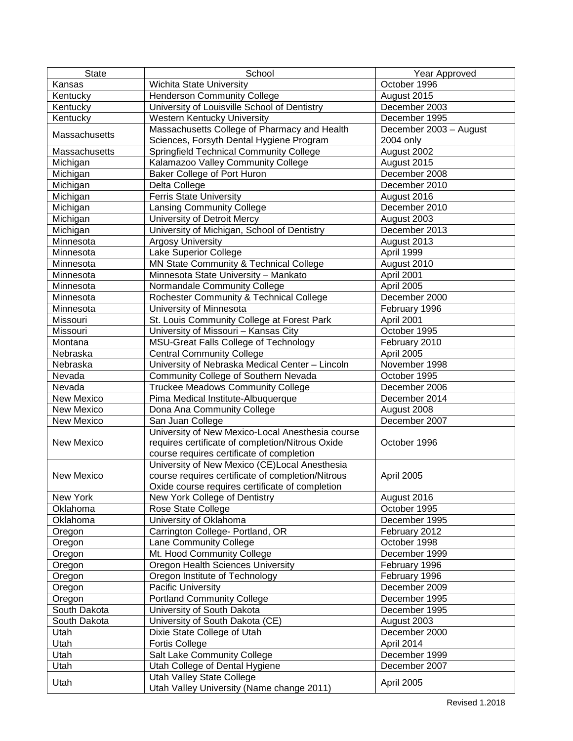| <b>State</b>           | School                                                                        | Year Approved                  |
|------------------------|-------------------------------------------------------------------------------|--------------------------------|
| Kansas                 | Wichita State University                                                      | October 1996                   |
| Kentucky               | <b>Henderson Community College</b>                                            | August 2015                    |
| Kentucky               | University of Louisville School of Dentistry                                  | December 2003                  |
| Kentucky               | <b>Western Kentucky University</b>                                            | December 1995                  |
|                        | Massachusetts College of Pharmacy and Health                                  | December 2003 - August         |
| Massachusetts          | Sciences, Forsyth Dental Hygiene Program                                      | 2004 only                      |
| Massachusetts          | <b>Springfield Technical Community College</b>                                | August 2002                    |
| Michigan               | Kalamazoo Valley Community College                                            | August 2015                    |
| Michigan               | Baker College of Port Huron                                                   | December 2008                  |
| Michigan               | Delta College                                                                 | December 2010                  |
| Michigan               | <b>Ferris State University</b>                                                | August 2016                    |
| Michigan               | <b>Lansing Community College</b>                                              | December 2010                  |
| Michigan               | University of Detroit Mercy                                                   | August 2003                    |
| Michigan               | University of Michigan, School of Dentistry                                   | December 2013                  |
| Minnesota              | <b>Argosy University</b>                                                      | August 2013                    |
| Minnesota              | Lake Superior College                                                         | April 1999                     |
| Minnesota              | MN State Community & Technical College                                        | August 2010                    |
| Minnesota              | Minnesota State University - Mankato                                          | April 2001                     |
| Minnesota              | Normandale Community College                                                  | April 2005                     |
| Minnesota              | Rochester Community & Technical College                                       | December 2000                  |
| Minnesota              | University of Minnesota                                                       | February 1996                  |
| Missouri               | St. Louis Community College at Forest Park                                    | April 2001                     |
| Missouri               | University of Missouri - Kansas City                                          | October 1995                   |
| Montana                | MSU-Great Falls College of Technology                                         | February 2010                  |
| Nebraska               | <b>Central Community College</b>                                              | April 2005                     |
| Nebraska               | University of Nebraska Medical Center - Lincoln                               | November 1998                  |
| Nevada                 | Community College of Southern Nevada                                          | October 1995                   |
| Nevada                 | <b>Truckee Meadows Community College</b>                                      | December 2006                  |
| New Mexico             | Pima Medical Institute-Albuquerque                                            | December 2014                  |
| New Mexico             | Dona Ana Community College                                                    | August 2008                    |
| New Mexico             | San Juan College                                                              | December 2007                  |
|                        | University of New Mexico-Local Anesthesia course                              |                                |
| <b>New Mexico</b>      | requires certificate of completion/Nitrous Oxide                              | October 1996                   |
|                        | course requires certificate of completion                                     |                                |
|                        | University of New Mexico (CE)Local Anesthesia                                 |                                |
| <b>New Mexico</b>      | course requires certificate of completion/Nitrous                             | April 2005                     |
|                        | Oxide course requires certificate of completion                               |                                |
| New York               | New York College of Dentistry                                                 | August 2016                    |
| Oklahoma               | Rose State College                                                            | October 1995                   |
| Oklahoma               | University of Oklahoma                                                        | December 1995                  |
| Oregon                 | Carrington College- Portland, OR                                              | February 2012                  |
| Oregon                 | Lane Community College                                                        | October 1998                   |
| Oregon                 | Mt. Hood Community College                                                    | December 1999                  |
| Oregon                 | Oregon Health Sciences University                                             | February 1996                  |
| Oregon                 | Oregon Institute of Technology                                                | February 1996                  |
| Oregon                 | Pacific University                                                            | December 2009                  |
|                        |                                                                               |                                |
| Oregon<br>South Dakota | <b>Portland Community College</b><br>University of South Dakota               | December 1995<br>December 1995 |
|                        |                                                                               |                                |
| South Dakota           | University of South Dakota (CE)                                               | August 2003                    |
| Utah                   | Dixie State College of Utah                                                   | December 2000                  |
| Utah                   | <b>Fortis College</b>                                                         | April 2014                     |
| Utah                   | Salt Lake Community College                                                   | December 1999                  |
| Utah                   | Utah College of Dental Hygiene                                                | December 2007                  |
| Utah                   | <b>Utah Valley State College</b><br>Utah Valley University (Name change 2011) | April 2005                     |